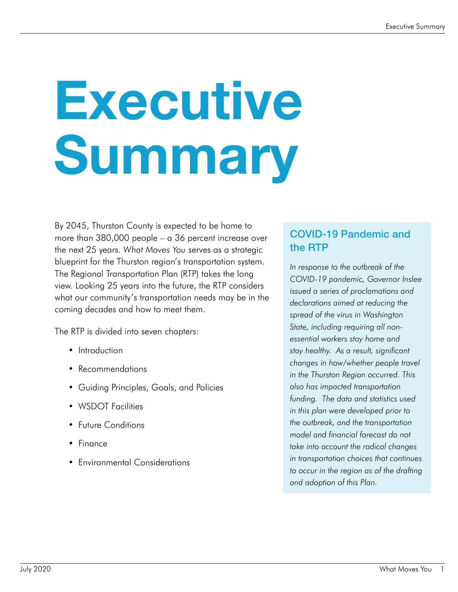# **Executive** Summary

By 2045, Thurston County is expected to be home to more than 380,000 people – a 36 percent increase over the next 25 years. *What Moves You* serves as a strategic blueprint for the Thurston region's transportation system. The Regional Transportation Plan (RTP) takes the long view. Looking 25 years into the future, the RTP considers what our community's transportation needs may be in the coming decades and how to meet them.

The RTP is divided into seven chapters:

- Introduction
- Recommendations
- Guiding Principles, Goals, and Policies
- WSDOT Facilities
- Future Conditions
- Finance
- Environmental Considerations

#### COVID-19 Pandemic and the RTP

*In response to the outbreak of the COVID-19 pandemic, Governor Inslee issued a series of proclamations and declarations aimed at reducing the spread of the virus in Washington State, including requiring all nonessential workers stay home and stay healthy. As a result, significant changes in how/whether people travel in the Thurston Region occurred. This also has impacted transportation funding. The data and statistics used in this plan were developed prior to the outbreak, and the transportation model and financial forecast do not take into account the radical changes in transportation choices that continues to occur in the region as of the drafting and adoption of this Plan.*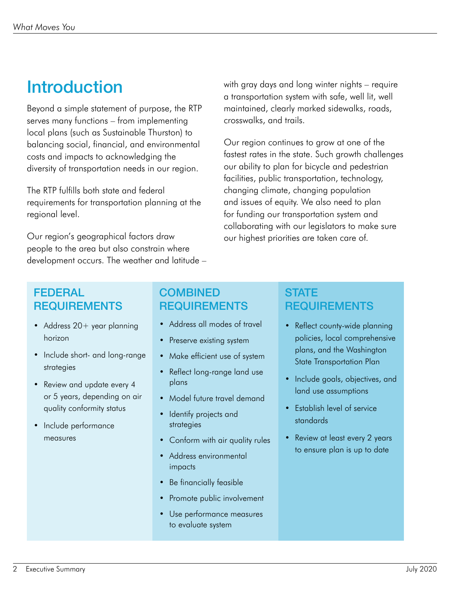## Introduction

Beyond a simple statement of purpose, the RTP serves many functions – from implementing local plans (such as Sustainable Thurston) to balancing social, financial, and environmental costs and impacts to acknowledging the diversity of transportation needs in our region.

The RTP fulfills both state and federal requirements for transportation planning at the regional level.

Our region's geographical factors draw people to the area but also constrain where development occurs. The weather and latitude – with gray days and long winter nights – require a transportation system with safe, well lit, well maintained, clearly marked sidewalks, roads, crosswalks, and trails.

Our region continues to grow at one of the fastest rates in the state. Such growth challenges our ability to plan for bicycle and pedestrian facilities, public transportation, technology, changing climate, changing population and issues of equity. We also need to plan for funding our transportation system and collaborating with our legislators to make sure our highest priorities are taken care of.

#### FEDERAL REQUIREMENTS

- Address 20+ year planning horizon
- Include short- and long-range strategies
- Review and update every 4 or 5 years, depending on air quality conformity status
- Include performance measures

### **COMBINED** REQUIREMENTS

- Address all modes of travel
- Preserve existing system
- Make efficient use of system
- Reflect long-range land use plans
- Model future travel demand
- Identify projects and strategies
- Conform with air quality rules
- Address environmental impacts
- Be financially feasible
- Promote public involvement
- Use performance measures to evaluate system

#### **STATE REQUIREMENTS**

- Reflect county-wide planning policies, local comprehensive plans, and the Washington State Transportation Plan
- Include goals, objectives, and land use assumptions
- Establish level of service standards
- Review at least every 2 years to ensure plan is up to date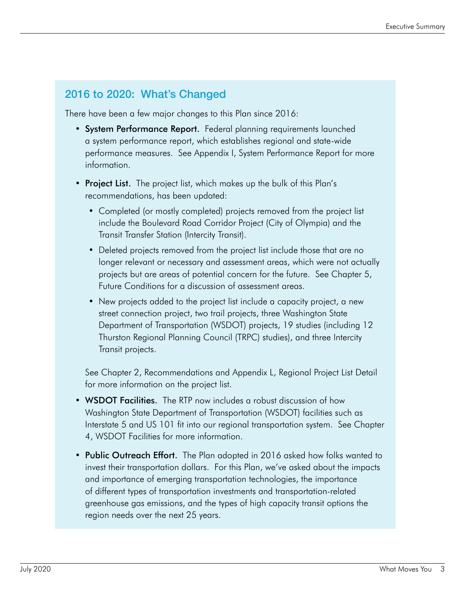#### 2016 to 2020: What's Changed

There have been a few major changes to this Plan since 2016:

- System Performance Report. Federal planning requirements launched a system performance report, which establishes regional and state-wide performance measures. See Appendix I, System Performance Report for more information.
- Project List. The project list, which makes up the bulk of this Plan's recommendations, has been updated:
	- Completed (or mostly completed) projects removed from the project list include the Boulevard Road Corridor Project (City of Olympia) and the Transit Transfer Station (Intercity Transit).
	- Deleted projects removed from the project list include those that are no longer relevant or necessary and assessment areas, which were not actually projects but are areas of potential concern for the future. See Chapter 5, Future Conditions for a discussion of assessment areas.
	- New projects added to the project list include a capacity project, a new street connection project, two trail projects, three Washington State Department of Transportation (WSDOT) projects, 19 studies (including 12 Thurston Regional Planning Council (TRPC) studies), and three Intercity Transit projects.

See Chapter 2, Recommendations and Appendix L, Regional Project List Detail for more information on the project list.

- WSDOT Facilities. The RTP now includes a robust discussion of how Washington State Department of Transportation (WSDOT) facilities such as Interstate 5 and US 101 fit into our regional transportation system. See Chapter 4, WSDOT Facilities for more information.
- Public Outreach Effort. The Plan adopted in 2016 asked how folks wanted to invest their transportation dollars. For this Plan, we've asked about the impacts and importance of emerging transportation technologies, the importance of different types of transportation investments and transportation-related greenhouse gas emissions, and the types of high capacity transit options the region needs over the next 25 years.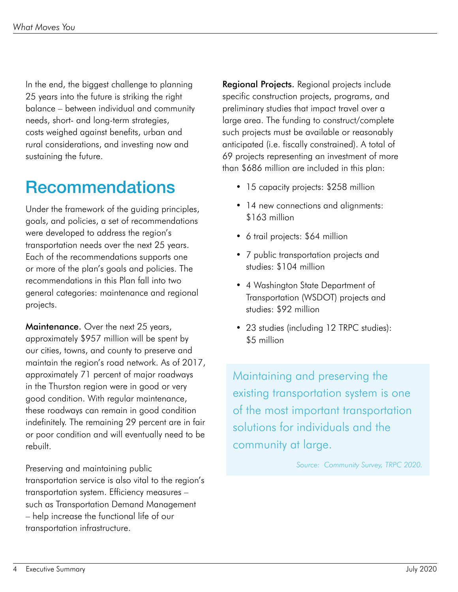In the end, the biggest challenge to planning 25 years into the future is striking the right balance – between individual and community needs, short- and long-term strategies, costs weighed against benefits, urban and rural considerations, and investing now and sustaining the future.

## Recommendations

Under the framework of the guiding principles, goals, and policies, a set of recommendations were developed to address the region's transportation needs over the next 25 years. Each of the recommendations supports one or more of the plan's goals and policies. The recommendations in this Plan fall into two general categories: maintenance and regional projects.

Maintenance. Over the next 25 years, approximately \$957 million will be spent by our cities, towns, and county to preserve and maintain the region's road network. As of 2017, approximately 71 percent of major roadways in the Thurston region were in good or very good condition. With regular maintenance, these roadways can remain in good condition indefinitely. The remaining 29 percent are in fair or poor condition and will eventually need to be rebuilt.

Preserving and maintaining public transportation service is also vital to the region's transportation system. Efficiency measures – such as Transportation Demand Management – help increase the functional life of our transportation infrastructure.

**Regional Projects.** Regional projects include specific construction projects, programs, and preliminary studies that impact travel over a large area. The funding to construct/complete such projects must be available or reasonably anticipated (i.e. fiscally constrained). A total of 69 projects representing an investment of more than \$686 million are included in this plan:

- 15 capacity projects: \$258 million
- 14 new connections and alignments: \$163 million
- 6 trail projects: \$64 million
- 7 public transportation projects and studies: \$104 million
- 4 Washington State Department of Transportation (WSDOT) projects and studies: \$92 million
- 23 studies (including 12 TRPC studies): \$5 million

Maintaining and preserving the existing transportation system is one of the most important transportation solutions for individuals and the community at large.

*Source: Community Survey, TRPC 2020.*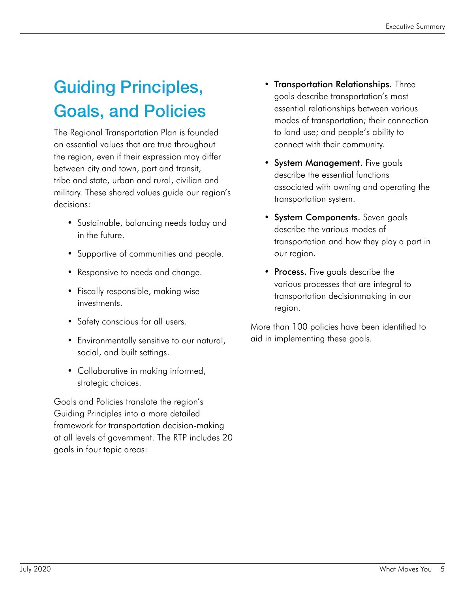## Guiding Principles, Goals, and Policies

The Regional Transportation Plan is founded on essential values that are true throughout the region, even if their expression may differ between city and town, port and transit, tribe and state, urban and rural, civilian and military. These shared values guide our region's decisions:

- Sustainable, balancing needs today and in the future.
- Supportive of communities and people.
- Responsive to needs and change.
- Fiscally responsible, making wise investments.
- Safety conscious for all users.
- Environmentally sensitive to our natural, social, and built settings.
- Collaborative in making informed, strategic choices.

Goals and Policies translate the region's Guiding Principles into a more detailed framework for transportation decision-making at all levels of government. The RTP includes 20 goals in four topic areas:

- Transportation Relationships. Three goals describe transportation's most essential relationships between various modes of transportation; their connection to land use; and people's ability to connect with their community.
- System Management. Five goals describe the essential functions associated with owning and operating the transportation system.
- System Components. Seven goals describe the various modes of transportation and how they play a part in our region.
- Process. Five goals describe the various processes that are integral to transportation decisionmaking in our region.

More than 100 policies have been identified to aid in implementing these goals.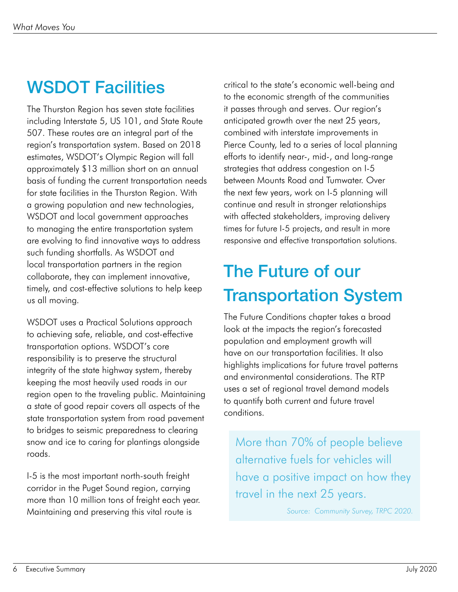## WSDOT Facilities

The Thurston Region has seven state facilities including Interstate 5, US 101, and State Route 507. These routes are an integral part of the region's transportation system. Based on 2018 estimates, WSDOT's Olympic Region will fall approximately \$13 million short on an annual basis of funding the current transportation needs for state facilities in the Thurston Region. With a growing population and new technologies, WSDOT and local government approaches to managing the entire transportation system are evolving to find innovative ways to address such funding shortfalls. As WSDOT and local transportation partners in the region collaborate, they can implement innovative, timely, and cost-effective solutions to help keep us all moving.

WSDOT uses a Practical Solutions approach to achieving safe, reliable, and cost-effective transportation options. WSDOT's core responsibility is to preserve the structural integrity of the state highway system, thereby keeping the most heavily used roads in our region open to the traveling public. Maintaining a state of good repair covers all aspects of the state transportation system from road pavement to bridges to seismic preparedness to clearing snow and ice to caring for plantings alongside roads.

I-5 is the most important north-south freight corridor in the Puget Sound region, carrying more than 10 million tons of freight each year. Maintaining and preserving this vital route is

critical to the state's economic well-being and to the economic strength of the communities it passes through and serves. Our region's anticipated growth over the next 25 years, combined with interstate improvements in Pierce County, led to a series of local planning efforts to identify near-, mid-, and long-range strategies that address congestion on I-5 between Mounts Road and Tumwater. Over the next few years, work on I-5 planning will continue and result in stronger relationships with affected stakeholders, improving delivery times for future I-5 projects, and result in more responsive and effective transportation solutions.

## The Future of our Transportation System

The Future Conditions chapter takes a broad look at the impacts the region's forecasted population and employment growth will have on our transportation facilities. It also highlights implications for future travel patterns and environmental considerations. The RTP uses a set of regional travel demand models to quantify both current and future travel conditions.

More than 70% of people believe alternative fuels for vehicles will have a positive impact on how they travel in the next 25 years.

*Source: Community Survey, TRPC 2020.*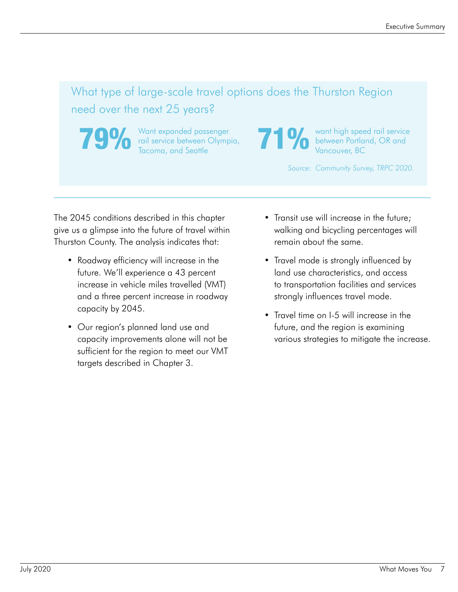## What type of large-scale travel options does the Thurston Region need over the next 25 years?

**79%** Want expanded passenger<br>Tacoma, and Seattle rail service between Olympia,

Want expanded passenger<br>Tacoma, and Seattle 71 March 2018, Want high speed rail service<br>Tacoma, and Seattle 71 Marcouver, BC between Portland, OR and Vancouver, BC

*Source: Community Survey, TRPC 2020.*

The 2045 conditions described in this chapter give us a glimpse into the future of travel within Thurston County. The analysis indicates that:

- Roadway efficiency will increase in the future. We'll experience a 43 percent increase in vehicle miles travelled (VMT) and a three percent increase in roadway capacity by 2045.
- Our region's planned land use and capacity improvements alone will not be sufficient for the region to meet our VMT targets described in Chapter 3.
- Transit use will increase in the future; walking and bicycling percentages will remain about the same.
- Travel mode is strongly influenced by land use characteristics, and access to transportation facilities and services strongly influences travel mode.
- Travel time on I-5 will increase in the future, and the region is examining various strategies to mitigate the increase.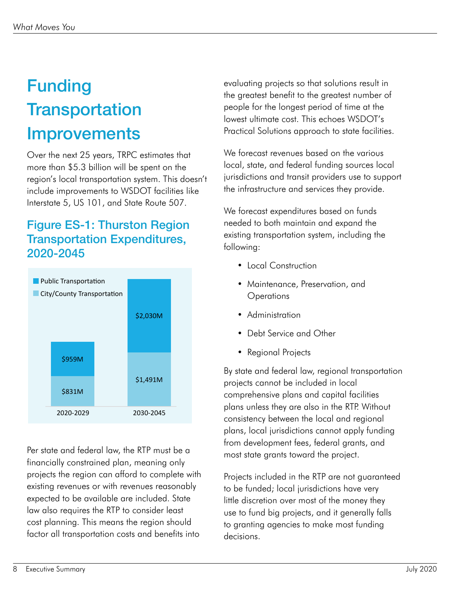# Funding **Transportation Improvements**

Over the next 25 years, TRPC estimates that more than \$5.3 billion will be spent on the region's local transportation system. This doesn't include improvements to WSDOT facilities like Interstate 5, US 101, and State Route 507.

### Figure ES-1: Thurston Region Transportation Expenditures, 2020-2045



Per state and federal law, the RTP must be a financially constrained plan, meaning only projects the region can afford to complete with existing revenues or with revenues reasonably expected to be available are included. State law also requires the RTP to consider least cost planning. This means the region should factor all transportation costs and benefits into

evaluating projects so that solutions result in the greatest benefit to the greatest number of people for the longest period of time at the lowest ultimate cost. This echoes WSDOT's Practical Solutions approach to state facilities.

We forecast revenues based on the various local, state, and federal funding sources local jurisdictions and transit providers use to support the infrastructure and services they provide.

We forecast expenditures based on funds needed to both maintain and expand the existing transportation system, including the following:

- Local Construction
- Maintenance, Preservation, and **Operations**
- Administration
- Debt Service and Other
- Regional Projects

By state and federal law, regional transportation projects cannot be included in local comprehensive plans and capital facilities plans unless they are also in the RTP. Without consistency between the local and regional plans, local jurisdictions cannot apply funding from development fees, federal grants, and most state grants toward the project.

Projects included in the RTP are not guaranteed to be funded; local jurisdictions have very little discretion over most of the money they use to fund big projects, and it generally falls to granting agencies to make most funding decisions.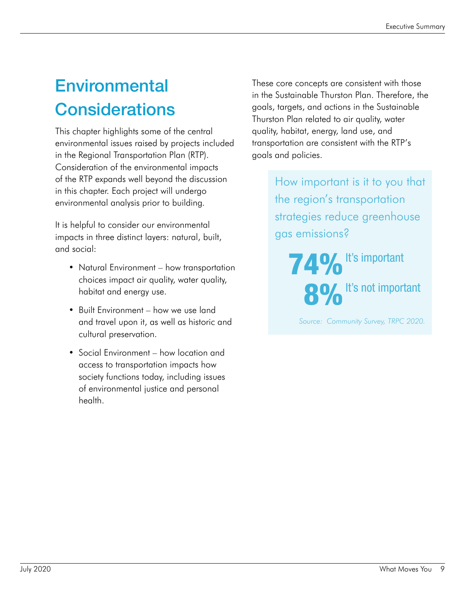## **Environmental Considerations**

This chapter highlights some of the central environmental issues raised by projects included in the Regional Transportation Plan (RTP). Consideration of the environmental impacts of the RTP expands well beyond the discussion in this chapter. Each project will undergo environmental analysis prior to building.

It is helpful to consider our environmental impacts in three distinct layers: natural, built, and social:

- Natural Environment how transportation choices impact air quality, water quality, habitat and energy use.
- Built Environment how we use land and travel upon it, as well as historic and cultural preservation.
- Social Environment how location and access to transportation impacts how society functions today, including issues of environmental justice and personal health.

These core concepts are consistent with those in the Sustainable Thurston Plan. Therefore, the goals, targets, and actions in the Sustainable Thurston Plan related to air quality, water quality, habitat, energy, land use, and transportation are consistent with the RTP's goals and policies.

> How important is it to you that the region's transportation strategies reduce greenhouse gas emissions?

74% It's important 8% It's not important

*Source: Community Survey, TRPC 2020.*